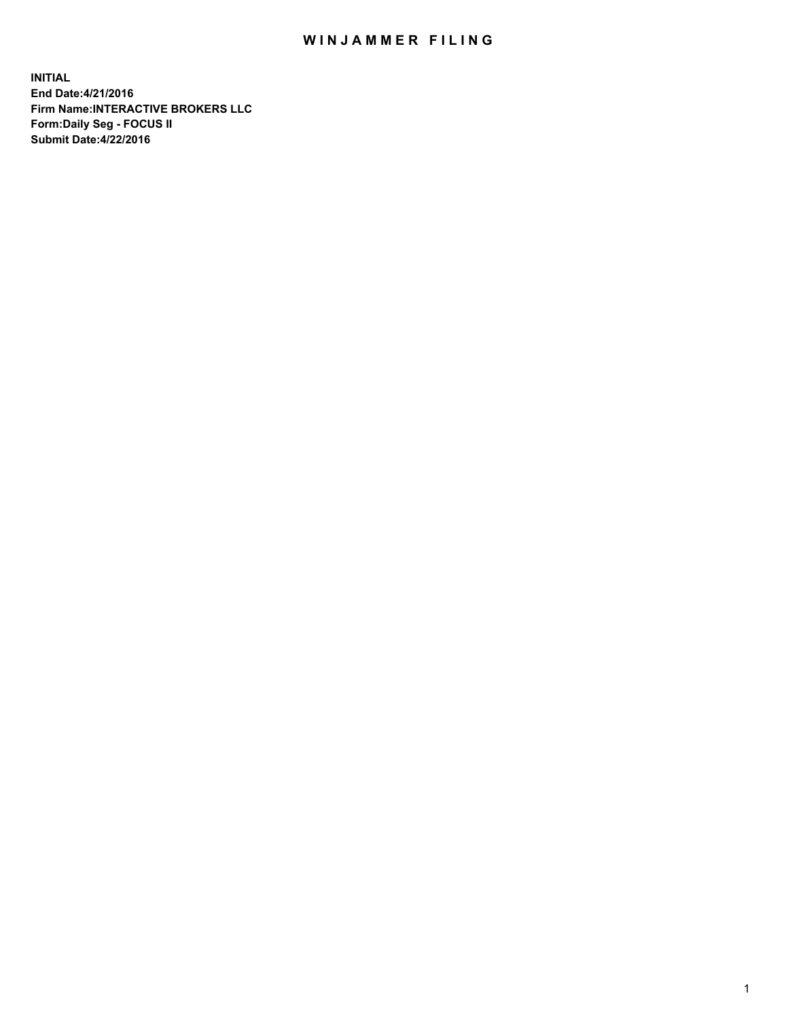## WIN JAMMER FILING

**INITIAL End Date:4/21/2016 Firm Name:INTERACTIVE BROKERS LLC Form:Daily Seg - FOCUS II Submit Date:4/22/2016**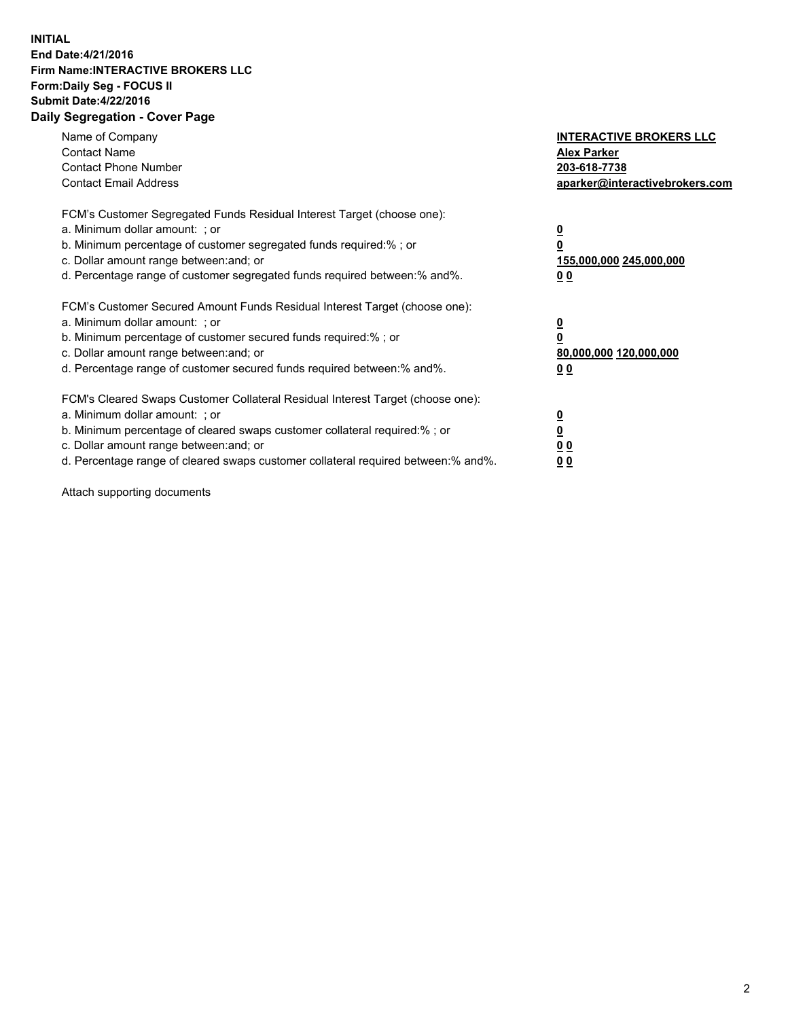## **INITIAL End Date:4/21/2016 Firm Name:INTERACTIVE BROKERS LLC Form:Daily Seg - FOCUS II Submit Date:4/22/2016 Daily Segregation - Cover Page**

| Name of Company<br><b>Contact Name</b><br><b>Contact Phone Number</b><br><b>Contact Email Address</b>                                                                                                                                                                                                                         | <b>INTERACTIVE BROKERS LLC</b><br><b>Alex Parker</b><br>203-618-7738<br>aparker@interactivebrokers.com |
|-------------------------------------------------------------------------------------------------------------------------------------------------------------------------------------------------------------------------------------------------------------------------------------------------------------------------------|--------------------------------------------------------------------------------------------------------|
| FCM's Customer Segregated Funds Residual Interest Target (choose one):<br>a. Minimum dollar amount: ; or<br>b. Minimum percentage of customer segregated funds required:% ; or<br>c. Dollar amount range between: and; or<br>d. Percentage range of customer segregated funds required between:% and%.                        | <u>0</u><br>155,000,000 245,000,000<br>0 <sub>0</sub>                                                  |
| FCM's Customer Secured Amount Funds Residual Interest Target (choose one):<br>a. Minimum dollar amount: ; or<br>b. Minimum percentage of customer secured funds required:%; or<br>c. Dollar amount range between: and; or<br>d. Percentage range of customer secured funds required between: % and %.                         | <u>0</u><br>80,000,000 120,000,000<br><u>00</u>                                                        |
| FCM's Cleared Swaps Customer Collateral Residual Interest Target (choose one):<br>a. Minimum dollar amount: ; or<br>b. Minimum percentage of cleared swaps customer collateral required:%; or<br>c. Dollar amount range between: and; or<br>d. Percentage range of cleared swaps customer collateral required between:% and%. | <u>0</u><br>0 <sub>0</sub><br>0 <sub>0</sub>                                                           |

Attach supporting documents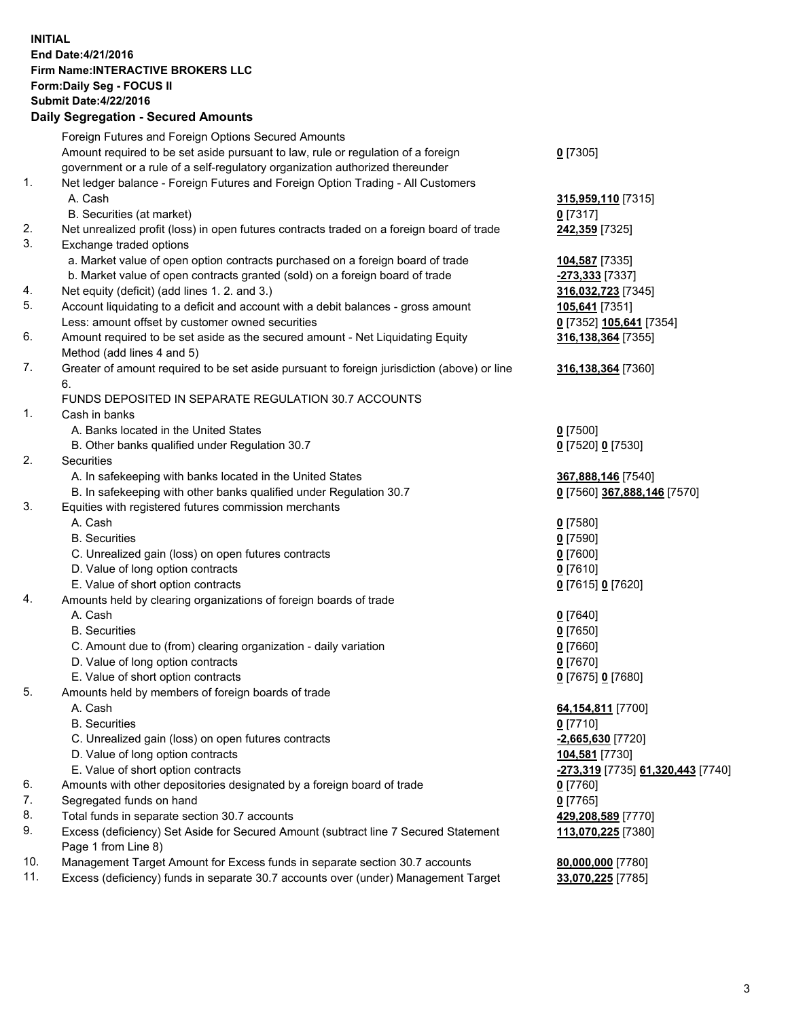## **INITIAL End Date:4/21/2016 Firm Name:INTERACTIVE BROKERS LLC Form:Daily Seg - FOCUS II Submit Date:4/22/2016 Daily Segregation - Secured Amounts**

|     | Daily Jegregation - Jeculed Aniounts                                                        |                                   |
|-----|---------------------------------------------------------------------------------------------|-----------------------------------|
|     | Foreign Futures and Foreign Options Secured Amounts                                         |                                   |
|     | Amount required to be set aside pursuant to law, rule or regulation of a foreign            | $0$ [7305]                        |
|     | government or a rule of a self-regulatory organization authorized thereunder                |                                   |
| 1.  | Net ledger balance - Foreign Futures and Foreign Option Trading - All Customers             |                                   |
|     | A. Cash                                                                                     | 315,959,110 [7315]                |
|     | B. Securities (at market)                                                                   | $0$ [7317]                        |
| 2.  | Net unrealized profit (loss) in open futures contracts traded on a foreign board of trade   | 242,359 [7325]                    |
| 3.  | Exchange traded options                                                                     |                                   |
|     | a. Market value of open option contracts purchased on a foreign board of trade              | 104,587 [7335]                    |
|     | b. Market value of open contracts granted (sold) on a foreign board of trade                | -273,333 [7337]                   |
| 4.  | Net equity (deficit) (add lines 1. 2. and 3.)                                               | 316,032,723 [7345]                |
| 5.  | Account liquidating to a deficit and account with a debit balances - gross amount           | 105,641 [7351]                    |
|     | Less: amount offset by customer owned securities                                            | 0 [7352] 105,641 [7354]           |
| 6.  |                                                                                             |                                   |
|     | Amount required to be set aside as the secured amount - Net Liquidating Equity              | 316,138,364 [7355]                |
|     | Method (add lines 4 and 5)                                                                  |                                   |
| 7.  | Greater of amount required to be set aside pursuant to foreign jurisdiction (above) or line | 316,138,364 [7360]                |
|     | 6.                                                                                          |                                   |
|     | FUNDS DEPOSITED IN SEPARATE REGULATION 30.7 ACCOUNTS                                        |                                   |
| 1.  | Cash in banks                                                                               |                                   |
|     | A. Banks located in the United States                                                       | $0$ [7500]                        |
|     | B. Other banks qualified under Regulation 30.7                                              | $0$ [7520] 0 [7530]               |
| 2.  | Securities                                                                                  |                                   |
|     | A. In safekeeping with banks located in the United States                                   | 367,888,146 [7540]                |
|     | B. In safekeeping with other banks qualified under Regulation 30.7                          | 0 [7560] 367,888,146 [7570]       |
| 3.  | Equities with registered futures commission merchants                                       |                                   |
|     | A. Cash                                                                                     | $0$ [7580]                        |
|     | <b>B.</b> Securities                                                                        | $0$ [7590]                        |
|     | C. Unrealized gain (loss) on open futures contracts                                         | $0$ [7600]                        |
|     | D. Value of long option contracts                                                           | $0$ [7610]                        |
|     | E. Value of short option contracts                                                          | 0 [7615] 0 [7620]                 |
| 4.  | Amounts held by clearing organizations of foreign boards of trade                           |                                   |
|     | A. Cash                                                                                     | $0$ [7640]                        |
|     | <b>B.</b> Securities                                                                        | $0$ [7650]                        |
|     | C. Amount due to (from) clearing organization - daily variation                             | $0$ [7660]                        |
|     | D. Value of long option contracts                                                           | $0$ [7670]                        |
|     | E. Value of short option contracts                                                          | 0 [7675] 0 [7680]                 |
| 5.  | Amounts held by members of foreign boards of trade                                          |                                   |
|     | A. Cash                                                                                     | 64,154,811 [7700]                 |
|     | <b>B.</b> Securities                                                                        | $0$ [7710]                        |
|     | C. Unrealized gain (loss) on open futures contracts                                         | $-2,665,630$ [7720]               |
|     | D. Value of long option contracts                                                           | 104,581 [7730]                    |
|     | E. Value of short option contracts                                                          | -273,319 [7735] 61,320,443 [7740] |
| 6.  | Amounts with other depositories designated by a foreign board of trade                      | 0 [7760]                          |
| 7.  | Segregated funds on hand                                                                    | $0$ [7765]                        |
| 8.  | Total funds in separate section 30.7 accounts                                               | 429,208,589 [7770]                |
| 9.  | Excess (deficiency) Set Aside for Secured Amount (subtract line 7 Secured Statement         | 113,070,225 [7380]                |
|     | Page 1 from Line 8)                                                                         |                                   |
| 10. | Management Target Amount for Excess funds in separate section 30.7 accounts                 | 80,000,000 [7780]                 |
| 11. | Excess (deficiency) funds in separate 30.7 accounts over (under) Management Target          | 33,070,225 [7785]                 |
|     |                                                                                             |                                   |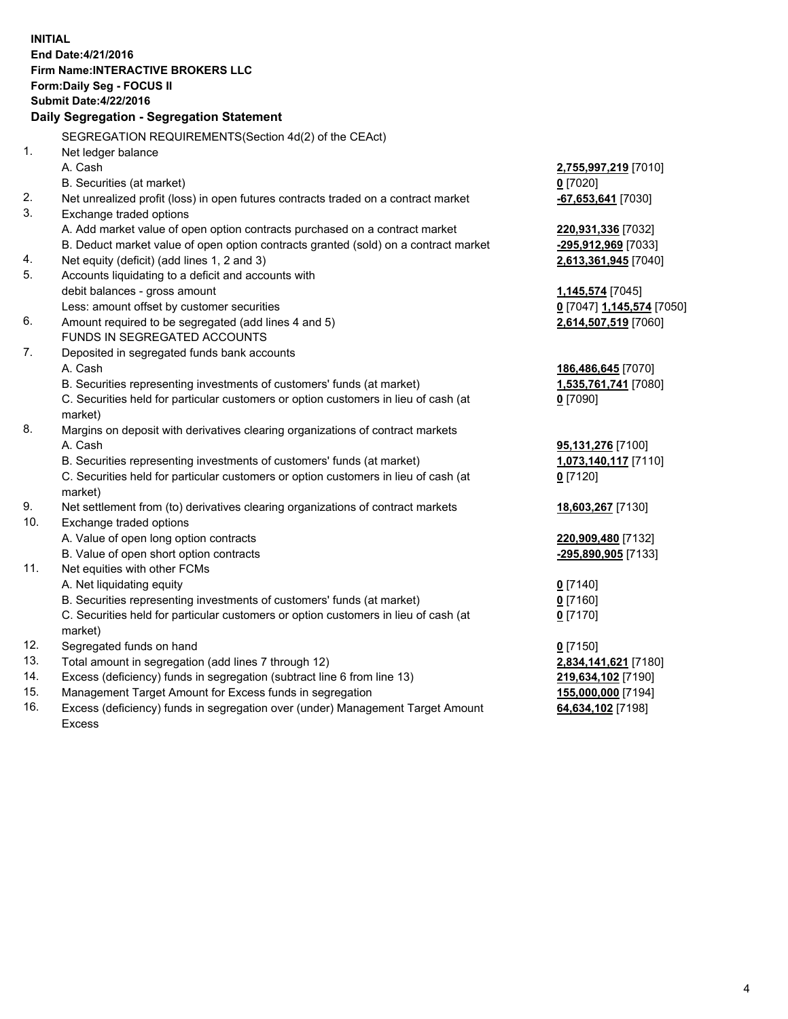**INITIAL End Date:4/21/2016 Firm Name:INTERACTIVE BROKERS LLC Form:Daily Seg - FOCUS II Submit Date:4/22/2016 Daily Segregation - Segregation Statement** SEGREGATION REQUIREMENTS(Section 4d(2) of the CEAct) 1. Net ledger balance A. Cash **2,755,997,219** [7010] B. Securities (at market) **0** [7020] 2. Net unrealized profit (loss) in open futures contracts traded on a contract market **-67,653,641** [7030] 3. Exchange traded options A. Add market value of open option contracts purchased on a contract market **220,931,336** [7032] B. Deduct market value of open option contracts granted (sold) on a contract market **-295,912,969** [7033] 4. Net equity (deficit) (add lines 1, 2 and 3) **2,613,361,945** [7040] 5. Accounts liquidating to a deficit and accounts with debit balances - gross amount **1,145,574** [7045] Less: amount offset by customer securities **0** [7047] **1,145,574** [7050] 6. Amount required to be segregated (add lines 4 and 5) **2,614,507,519** [7060] FUNDS IN SEGREGATED ACCOUNTS 7. Deposited in segregated funds bank accounts A. Cash **186,486,645** [7070] B. Securities representing investments of customers' funds (at market) **1,535,761,741** [7080] C. Securities held for particular customers or option customers in lieu of cash (at market) **0** [7090] 8. Margins on deposit with derivatives clearing organizations of contract markets A. Cash **95,131,276** [7100] B. Securities representing investments of customers' funds (at market) **1,073,140,117** [7110] C. Securities held for particular customers or option customers in lieu of cash (at market) **0** [7120] 9. Net settlement from (to) derivatives clearing organizations of contract markets **18,603,267** [7130] 10. Exchange traded options A. Value of open long option contracts **220,909,480** [7132] B. Value of open short option contracts **-295,890,905** [7133] 11. Net equities with other FCMs A. Net liquidating equity **0** [7140] B. Securities representing investments of customers' funds (at market) **0** [7160] C. Securities held for particular customers or option customers in lieu of cash (at market) **0** [7170] 12. Segregated funds on hand **0** [7150] 13. Total amount in segregation (add lines 7 through 12) **2,834,141,621** [7180] 14. Excess (deficiency) funds in segregation (subtract line 6 from line 13) **219,634,102** [7190] 15. Management Target Amount for Excess funds in segregation **155,000,000** [7194]

16. Excess (deficiency) funds in segregation over (under) Management Target Amount Excess

**64,634,102** [7198]